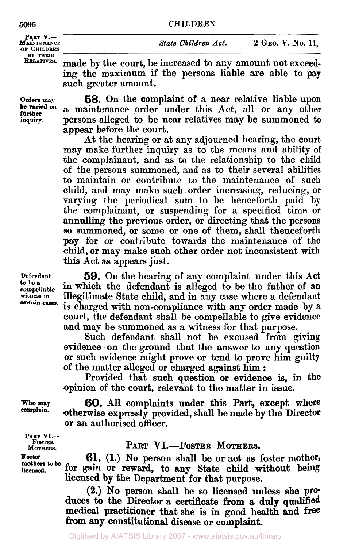**OF CHILDREN PART V.-**<br>**MAINTENANCE** BY THEIR<br>**RELATIVES.** 

**Orders may** 

**inquiry. be varied on further** 

made by the court, be increased to any amount not exceeding the maximum if the persons liable are able to pay such greater amount.

*58.* On the complaint of a near relative liable upon a maintenance order under this Act, all or any other persons alleged to be near relatives may be summoned to appear before the court.

At the hearing or at any adjourned hearing, the court may make further inquiry as to the means and ability of the complainant, and as to the relationship to the child of the persons summoned, and as to their several abilities to maintain or contribute to the maintenance of such child, and may make such order increasing, reducing, or varying the periodical sum to be henceforth paid by the complainant, or suspending for a specified time or annulling the previous order, or directing that the persons so summoned, or some or one of them, shall thenceforth pay for or contribute towards the maintenance of the child, or may make such other order not inconsistent with this Act as appears just.

**to he a certain cases.** 

**Defendant 59. On** the hearing of any complaint under this Act **compellable** in which the defendant is alleged to be the father of an **witness in** illegitimate State child, and in any case where a defendant is charged with non-compliance with any order made by a court, the defendant shall be compellable to give evidence and map be summoned as a witness for that purpose.

Such defendant shall not be excused from giving evidence on the ground that the answer to any question or such evidence might prove or tend to prove him guilty of the matter alleged or charged against him :

Provided that such question or evidence is, in the opinion of the court, relevant to the matter in issue.

*60.* All complaints under this Part, except where otherwise expressly provided, **shall** be made **by** the Director or an authorised officer.

**PART VI.- FOSTER MOTHERS. mothers, to be Foster licensed.** 

**Who may complain.** 

## PART VI.-FOSTER MOTHERS.

**61. (1.) No** person **shall** be or act as foster mother, for gain or reward, to any State child without being licensed by the Department for that purpose.

**(2.) No** person shall be **so** licensed unless **she pro duces** to the Director a certificate from **a** duly **qualified medical** practitioner that she is in good health and **free**  from **any** constitutional disease or complaint.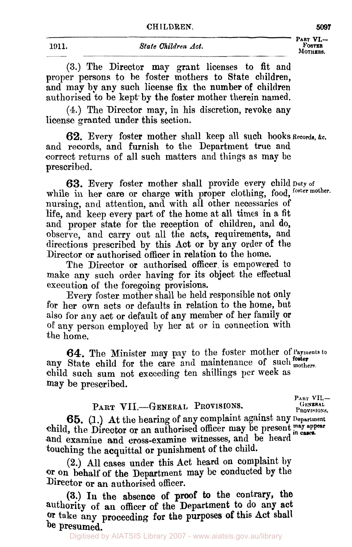# **1911.** *State Children Act.* **FOSTER**  1911. State Children Act. TOSTER MOTHERS,

**PART VI.-** 

**(3.)** The Director may grant licenses to fit **and**  proper persons to be foster mothers to State children, and may by any such license **fix** the number of children authorised to be kept. by the foster mother therein named.

**(4.)** The Director may, in his discretion, revoke any license granted under this section,

62. Every foster mother shall keep all such books Records, &c. and records, and furnish to the Department true and correct returns of all such matters and things as may be prescribed.

**63.** Every foster mother shall provide every child **Duty of**  while in her care or charge with proper clothing, food, foster mother. nursing, and attention, and with all other necessaries of life, and keep every part of the home at all times in a fit and proper state for the reception of children, and **do,**  observe, and carry out all the acts, requirements, and directions prescribed by this Act or by any order of the Director or authorised officer in relation to the home.

The Director or authorised officer. is empowered to make **any** such order having for its object the effectual execution **of** the foregoing provisions.

Every foster mother shall be held responsible not only for her own acts or defaults in relation to the home, but also for any act or default **of any** member *of* her family or of any person employed by her at or in connection with the home.

**64.** The Minister may **pay** to the foster mother of **Payments to foster**  any State child for the care and maintenance of such mothers. child such sum not exceeding ten shillings per week as may be prescribed.

# PART VII.-GENERAL PROVISIONS. GENERAL PROVISIONS.

PART VII.-

*65.* **(1.) At** the hearing of any complaint against any **Department**  child, the Director or an authorised officer may be present. **may appeer in cases.**  and examine and cross-examine witnesses, and be heard touching the acquittal or punishment of the child.

**(2.)** All cases under this Act heard **on** complaint by Or **on** behalf **of** the Department may be conducted by the Director or an authorised officer.

(3.) In the absence of proof to the contrary, the authority **of an** officer **of** the Department **to** do **any act Or** take **any** proceeding for the purposes **Of** this **Act** shall **be** presumed.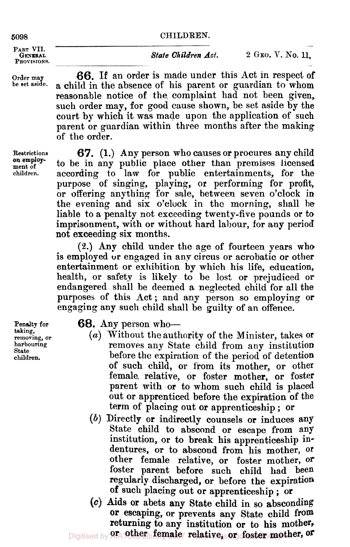#### **5098 CHILDREN.**

PART VII.<br>GENERAL

**PROVISIONS.** 

**on employ-**

Order may **66.** If an order is made under this Act in respect of be set aside. a child in the absence of his narent or guardian to whom a child in the absence of his parent or guardian to whom reasonable notice of the complaint had not been given, such order may, for good cause shown, be set aside by the court by which it was made upon the application of such parent or guardian within three months after the making of the order.

**Restrictions** *67.* **(1.) Any** person who causes or procures any child on employ to be in any public place other than premises licensed children. according to law for public entertainments, for the according to law for public entertainments, for the purpase of singing, playing, **or** performing for profit, or offering anything for sale, between seven o'clock in the evening and six o'clock in the morning, shall he liable to a penalty not exceeding twenty-five pounds or to imprisonment, with or without hard labour, for **any** period not exceeding six months.

> (2.) Any child under the age of fourteen years who is employed or engaged in any circus or acrobatic or other entertainment or exhibition by which his life, education, health, or safety is likely to be lost or prejudiced or endangered shall be deemed a neglected child for all the purposes of this Act; and any person so employing or engaging **any** such child shall be guilty of an offence.

(a) **taking, removing, or harbouring State children.** 

# **Penalty for 68.** Any person who-

- (a) Without the authority of the Minister, takes or removes any State child from any institution before the expiration of the period of detention of such child, or from its mother, or other female. relative, or foster mother, or foster parent with or to whom such child is placed out or apprenticed before the expiration of **the**  term of placing out or apprenticeship ; or
- Directly or indirectly counsels or induces **any**  State child to abscond or escape from **any**  institution, or to break his apprenticeship indentures, or to abscond from his mother, **or**  other female relative, or foster mother, **or**  foster parent before such child had been regularly discharged, or before the expiration of such placing out or apprenticeship ; or
- Aids or abets any State child in **SO** absconding **Or** escaping, or prevents any State child **from**  returning to any institution or to his mother,

Digitised by **21<sub>4</sub>-pther<sub>ib</sub>female<sub>7</sub>** relative, or foster mother, or

*State Children Act.* **2 GEO. V. No. 11,**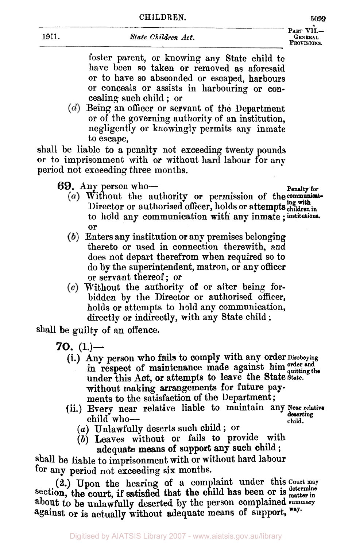**PROVISIONS.** 

foster parent, or knowing any State child to have been so taken or removed as aforesaid or to have so absconded or escaped, harbours or conceals or assists in harbouring or concealing such child ; or

 $(d)$  Being an officer or servant of the Department or of the governing authority of an institution, negligently or knowingly permits any inmate to escape,

shall be liable to a penalty not exceeding twenty pounds or to imprisonment with or without hard labour for any period not exceeding three months.

69. Any person who-

- Director or authorised officer, holds or attempts children in to hold any communication with any inmate; institutions. (a) Without the authority or permission of the communicator
- (b) Enters any institution or any premises belonging thereto or used in connection therewith, and does not depart therefrom when required so to do **by** the superintendent, matron, or any officer or servant thereof; or
- $(c)$  Without the authority of or after being forbidden by the Director or authorised officer, holds or attempts to hold any communication, directly or indirectly, with any State child ;

shall be guilty of an offence.

- **70.** (1.)—<br>(i.) Any person who fails to comply with any order  $\text{Disobeying}$ in respect of maintenance made against him order and in respect of manuenance made against mini quitting the under this Act, or attempts to leave the State State. without making arrangements for future payments to the satisfaction *of* the Department ;
	- (ii.) Every near relative liable to maintain any **Near relative** child who-
		- (a) Unlawfully deserts such child ; or
		- (b) Leaves without or fails to provide with adequate means of support any such child ;

**shall** be liable to imprisonment with or without hard labour for *any* period not exceeding six months.

**(2.)** Upon the hearing of a complaint under this **Court may**  to **be** unlawfully deserted by the person complained **summery**  section, the court, if satisfied that the child has been or is matter in against or is actually without adequate means of support, **way.** 

Digitised by AIATSIS Library 2007 - www.aiatsis.gov.au/library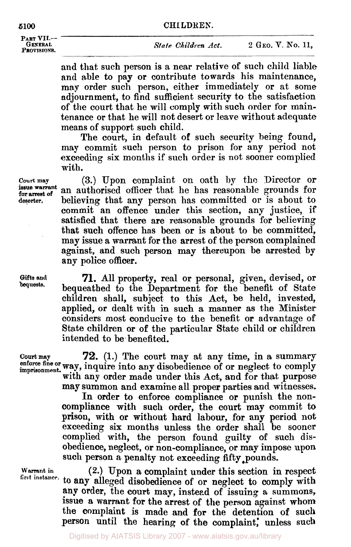#### **5100 CHI LDREN.**

**PART VII-**

# **GENERAL** *State Children Act.* **2 GEO. V. No. 11, PROVISIONS.**

and that such person is a near relative of such child liable and able to pay or contribute towards his maintenance, may order such person, either immediately or at some adjournment, to find sufficient security to the satisfaction of the court that he will comply with such order for maintenance or that he will not desert or leave without adequate means of support such child.

The court, in default of such security being found, may commit such person to prison for any period not exceeding six months if such order is not sooner complied with.

**Court may (3.) Upon** complaint on oath by the Director or an authorised officer that he has reasonable grounds for deserter. **believing that any person has committed or is about to** commit **an** offence under this section, any justice, if satisfied that there are reasonable grounds for believing that such offence has been or is about to be committed, may issue a warrant for the arrest of the person complained against, and such person may thereupon be arrested by any police officer.

> **71.** All property, real or personal, given, devised, or bequeathed to the Department for the benefit of State children shall, subject to this Act, be held, invested, applied, or dealt with in such a manner as the Minister considers most conducive to the benefit or advantage of State children or of the particular State child or children intended to be benefited.

**Court may 72.** (1.) The court may at any time, in a summary enforce fine or way, inquire into any disobedience of or neglect to comply imprisonment. way, inquire much any discussions of  $\overline{c}$  and for that purpose

may summon and examine all proper parties and witnesses.

**In** order to enforce compliance or punish the noncompliance with such order, the court may commit to prison, with or without hard labour, for any period not exceeding six months unless the order shall be sooner complied with, the person found guilty of such disobedience, neglect, or non-compliance, or may impose upon such person a penalty not exceeding fifty pounds.

**Warrant in** 

**(2.)** Upon a complaint under this section in respect to **any** alleged disobedience of or neglect to comply with first **instance. any** order, the court may, instead of issuing a summons, **issue a** warrant for the arrest of the person against whom the complaint is made and for the detention of such person until the hearing of the complaint: **unless such** 

**issue warrant for arrest of** 

**Gifts and bequests.**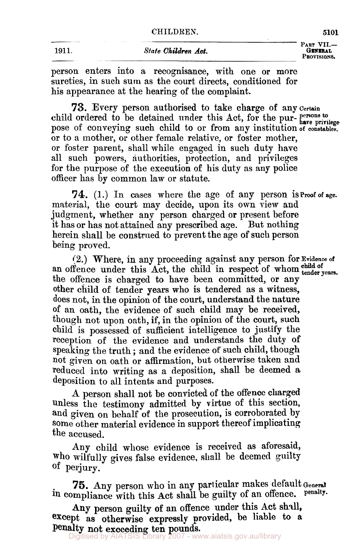**1911.** *State Children Act.* 

PART VII.-**PROVISIONS.** 

person enters into a recognisance, with one or more sureties, in such sum as the court directs, conditioned for his appearance at the hearing of the complaint.

**73.** Every person authorised to take charge of any certsin pose of conveying such child to or from any institution of **constables.**  or to a mother, or other female relative, or foster mother, or foster parent, shall while engaged in such duty have all such powers, authorities, protection, and privileges for the purpose of the execution **of** his duty as any police officer has by common law or statute. child ordered to be detained under this Act, for the pur- **persons** to *ave privilege* 

material, the court may decide, upon its own view and judgment, whether any person charged or present before it has or has not attained any prescribed age. But nothing herein shall be construed to prevent the age **of** such person being proved. **74.** (1.) In cases where the age of any person is proof **of** age.

**(2.)** Where, in any proceeding against any person for **Evidence of**  (2.) Where, in any proceeding against any person for a radius of an offence under this Act, the child in respect of whom tender years. the offence is charged to have been committed, or any other child of tender years who is tendered as a witness, does not, in the opinion **of** the court, understand the nature of an oath, the evidence **of** such child may be received, though not upon oath, if, in the opinion of the court, such child is possessed of sufficient intelligence to justify the reception of the evidence and understands the duty **of**  speaking the truth ; and the evidence of such child, though not given on oath or affirmation, but otherwise taken and reduced into writing as a deposition, shall be deemed *a*  deposition to all intents and purposes.

**A** person shall not be convicted **of** the offence charged unless the testimony admitted **by** virtue **of** this section, and given on behalf of the prosecution, is corroborated by Some other material evidence in support thereof implicating the accused.

**Any** child whose evidence is received as aforesaid, who wilfully gives false evidence, shall be deemed guilty of perjury.

**75.** Any person who in any particular makes default General in compliance with this Act shall be guilty of an offence. Penalty.

**Any** person guilty **of an** offence under this Act shall, except as otherwise expressly provided, be liable to a Penalty not exceeding ten **pounds.** 

Digitised by AIATSIS Library 2007 - www.aiatsis.gov.au/library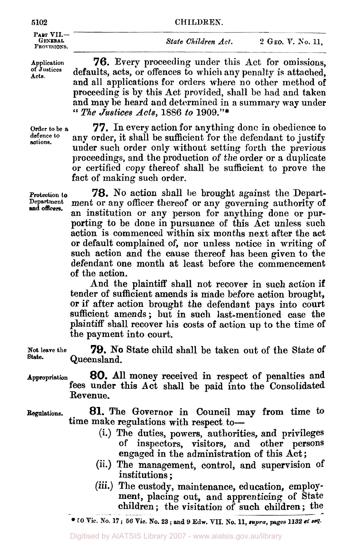#### **5102 CHILDREN.**

PART VII.-**PROVISIONS.** 

**GENERAL** *State Children Act.* **2 GEO. V.** *So.* **11,** 

**Application Acts. Of Justices** 

**76.** Every proceeding under this Act for omissions, defaults, acts, or offences to which any penalty is attached, and all applications for orders where no other method of proceeding is by this Act provided, shall be had and taken and may be heard and determined in a summary way under **"** *The Justices Acts,* 1886 *to* **1909."\*** 

**Order to be a defence to actions.** 

**77.** In every action for anything done in obedience to any order, it shall be sufficient for the defendant to justify under such order only without setting forth the previous proceedings, and the production of the order or a duplicate or certified copy thereof shall be sufficient to prove the fact of making such order.

**Protection to 78.** No action shall be brought against the Depart-<br>Department ment or any officer thereof or any coverning outhority of ment or any officer thereof or any governing authority of an institution or any person for anything done or purporting to be done in pursuance of this Act unless such action is commenced within six months next after the act or default complained of, nor unless notice in writing of such action and the cause thereof has been given to the defendant one month at least before the commencement of the action.

> And the plaintiff shall not recover in such action if tender of sufficient amends is made before action brought, or if after action brought the defendant pays into court sufficient amends; but in such last-mentioned case the plaintiff shall recover his costs of action up to the time of the payment into court.

**79.** No State child shall be taken out of the State **of Not leave the State.** Queensland.

- *80.* All money received in respect of penalties and fees under this Act shall be paid into the Consolidated Revenue. **Appropriation**
- **81.** The Governor in Council may from time **to**  time make regulations with respect to- **Regulations.** 
	- (i.) The duties, powers, authorities, and privileges of inspectors, visitors, and other persons inspectors, visitors, and other persons engaged in the administration of this Act;
	- (ii.) The management, control, and supervision **of**  institutions ;
	- (iii.) The custody, maintenance, education, employment, placing out, and apprenticing of State children ; the visitation of such children ; the children; the visitation of such children; the

**and officers.** 

*<sup>50</sup>***Vic. No. <sup>17</sup>**; **56 Vic. No. 23** ; **and 9 Edw. VII. No. 11,** *supra,* **pages 1132** *et seq.*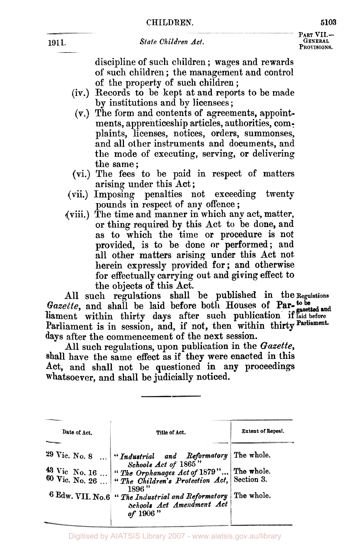**PART VII-PROVISIONS.** 

discipline of such children ; wages and rewards of such children; the management and control of the property of such children;

- (iv.) Records **to** be kept at and reports to be made **by** institutions and by licensees ;
- **(V.)** The form and contents of agreements, appointments, apprenticeship articles, authorities, complaints, licenses, notices, orders, summonses, and all other instruments and documents, and the mode of executing, serving, or delivering the same;
- (vi.) The fees to he paid in respect of matters
- arising under this Act;<br>(vii.) Imposing penalties n penalties not exceeding twenty pounds in respect of **any** offence ;
- (viii.) The time and manner in which any act, matter, or thing required **by** this Act to be done, and **as** to which the time **or** procedure is not provided, is to be done **or** performed; and all other matters arising under this Act not herein expressly provided for ; and otherwise **for** effectually carrying out and giving effect **to**  the objects **of** this Act.

All such regulations shall be published in the **Regulations**  Gazette, and shall be laid before both Houses of Par-tobe liament within thirty **days** after such publication if **laid before**  Parliament is in session, and, if not, then within thirty days after the commencement **of** the next session.

All such regulations, upon publication in the *Gazette,*  shall have the same effect as if they were enacted in this Act, and shall not be questioned in any proceedings whatsoever, and shall be judicially noticed.

| Date of Act.    | Title of Act.                                                                                                        | Extent of Repeal. |
|-----------------|----------------------------------------------------------------------------------------------------------------------|-------------------|
|                 |                                                                                                                      |                   |
| $29$ Vic. No. 8 | "Industrial and Reformatory The whole.<br>Schools Act of 1865"                                                       |                   |
|                 | 43 Vic No. 16  "The Orphanages Act of 1879" The whole.<br>60 Vic. No. 26  "The Children's Protection Act, Section 3. |                   |
|                 | 1896"                                                                                                                |                   |
|                 | 6 Edw. VII. No.6 " The Industrial and Reformatory   The whole.<br>Schools Act Amendment Act<br>of 1906"              |                   |
|                 |                                                                                                                      |                   |